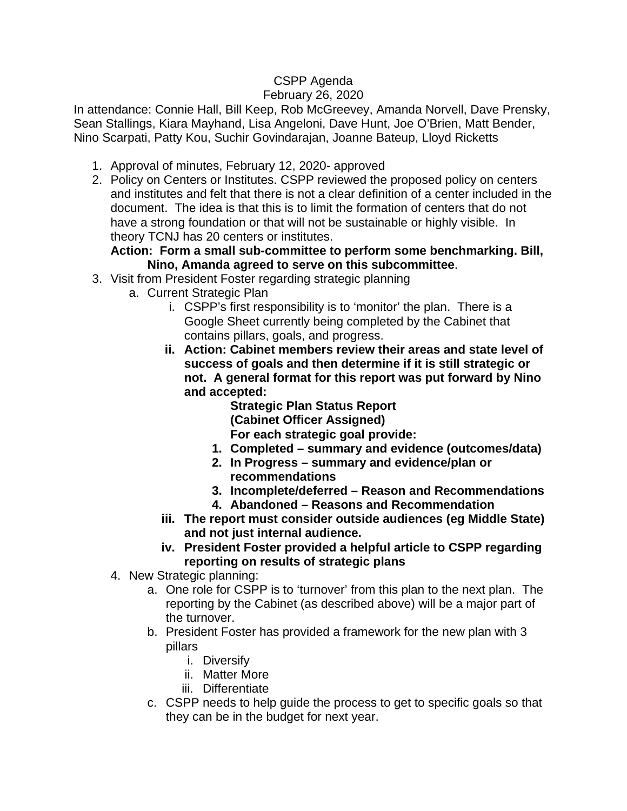## CSPP Agenda

## February 26, 2020

In attendance: Connie Hall, Bill Keep, Rob McGreevey, Amanda Norvell, Dave Prensky, Sean Stallings, Kiara Mayhand, Lisa Angeloni, Dave Hunt, Joe O'Brien, Matt Bender, Nino Scarpati, Patty Kou, Suchir Govindarajan, Joanne Bateup, Lloyd Ricketts

- 1. Approval of minutes, February 12, 2020- approved
- 2. Policy on Centers or Institutes. CSPP reviewed the proposed policy on centers and institutes and felt that there is not a clear definition of a center included in the document. The idea is that this is to limit the formation of centers that do not have a strong foundation or that will not be sustainable or highly visible. In theory TCNJ has 20 centers or institutes.

## **Action: Form a small sub-committee to perform some benchmarking. Bill, Nino, Amanda agreed to serve on this subcommittee**.

- 3. Visit from President Foster regarding strategic planning
	- a. Current Strategic Plan
		- i. CSPP's first responsibility is to 'monitor' the plan. There is a Google Sheet currently being completed by the Cabinet that contains pillars, goals, and progress.
		- **ii. Action: Cabinet members review their areas and state level of success of goals and then determine if it is still strategic or not. A general format for this report was put forward by Nino and accepted:**

**Strategic Plan Status Report (Cabinet Officer Assigned) For each strategic goal provide:**

- **1. Completed – summary and evidence (outcomes/data)**
- **2. In Progress – summary and evidence/plan or recommendations**
- **3. Incomplete/deferred – Reason and Recommendations**
- **4. Abandoned – Reasons and Recommendation**
- **iii. The report must consider outside audiences (eg Middle State) and not just internal audience.**
- **iv. President Foster provided a helpful article to CSPP regarding reporting on results of strategic plans**
- 4. New Strategic planning:
	- a. One role for CSPP is to 'turnover' from this plan to the next plan. The reporting by the Cabinet (as described above) will be a major part of the turnover.
	- b. President Foster has provided a framework for the new plan with 3 pillars
		- i. Diversify
		- ii. Matter More
		- iii. Differentiate
	- c. CSPP needs to help guide the process to get to specific goals so that they can be in the budget for next year.